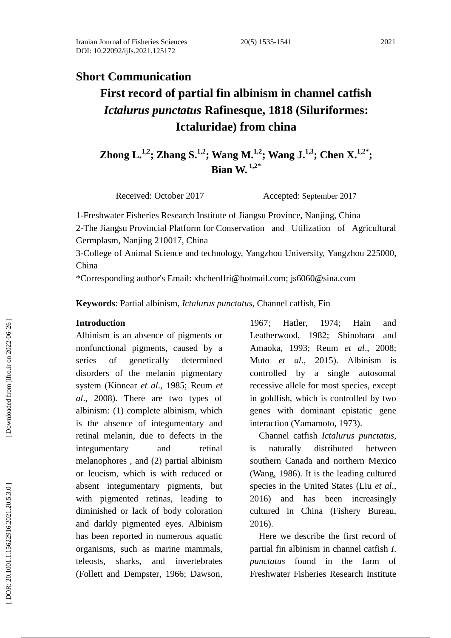# **Short Communication**

# **First record of partial fin albinism in channel catfish**  *Ictalurus punctatus* **Rafinesque, 1818 (Siluriformes: Ictaluridae) from china**

**Zhong L.**<sup>1,2</sup>; Zhang S.<sup>1,2</sup>; Wang M.<sup>1,2</sup>; Wang J.<sup>1,3</sup>; Chen X.<sup>1,2</sup><sup>\*</sup>; **Bian W. 1,2 \***

Received: October 2017 Accepted: September 2017

1 - Freshwater Fisheries Research Institute of Jiangsu Province, Nanjing, China 2 -The Jiangsu Provincial Platform for Conservation and Utilization of Agricultural Germplasm, Nanjing 210017, China

3-College of Animal Science and technology, Yangzhou University, Yangzhou 225000, China

\*Corresponding author's Email: xhchenffri@hotmail.com; js6060@sina.com

**Keywords** : Partial albinism , *Ictalurus punctatus* , Channel catfish, Fin

#### **Introduction**

Albinism is an absence of pigments or nonfunctional pigments, caused by a series of genetically determined disorders of the melanin pigmentary system (Kinnear *et al*., 1985; Reum *et al*., 2008). There are two types of albinism: (1) complete albinism, which is the absence of integumentary and retinal melanin, due to defects in the integumentary and retinal melanophores , and (2) partial albinism or leucism, which is with reduced or absent integumentary pigments, but with pigmented retinas, leading to diminished or lack of body coloration and darkly pigmented eyes. Albinism has been reported in numerous aquatic organisms, such as marine mammals, teleosts, sharks, and invertebrates (Follett and Dempster, 1966; Dawson,

1967; Hatler, 1974; Hain and Leatherwood, 1982; Shinohara and Amaoka, 1993; Reum *et al*., 2008; Muto *et al*., 2015). Albinism is controlled by a single autosomal recessive allele for most species, except in goldfish, which is controlled by two genes with dominant epistatic gene interaction (Yamamoto, 1973).

 Channel catfish *Ictalurus punctatus*, is naturally distributed between southern Canada and northern Mexico (Wang, 1986). It is the leading cultured species in the United States (Liu *et al*., 2016) and has been increasingly cultured in China (Fishery Bureau, 2016).

 Here we describe the first record of partial fin albinism in channel catfish *I*. *punctatus* found in the farm of Freshwater Fisheries Research Institute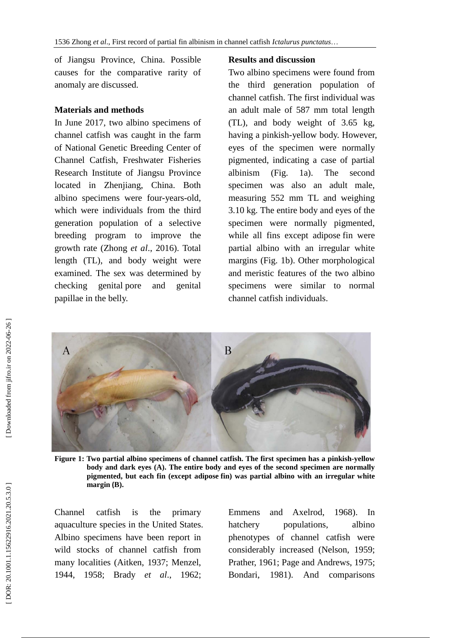of Jiangsu Province, China. Possible causes for the comparative rarity of anomaly are discussed.

## **Material s and methods**

In June 2017, two albino specimens of channel catfish was caught in the farm of National Genetic Breeding Center of Channel Catfish, Freshwater Fisheries Research Institute of Jiangsu Province located in Zhenjiang, China. Both albino specimens were four -years -old, which were individuals from the third generation population of a selective breeding program to improve the growth rate (Zhong *et al*., 2016). Total length (TL), and body weight were examined. The sex was determined by checking genital pore and genital papillae in the belly.

## **Results and discussion**

Two albino specimens were found from the third generation population of channel catfish. The first individual was an adult male of 587 mm total length (TL), and body weight of 3.65 kg, having a pinkish -yellow body. However, eyes of the specimen were normally pigmented, indicating a case of partial albinism (Fig. 1a). The second specimen was also an adult male, measuring 552 mm TL and weighing 3.10 kg. The entire body and eyes of the specimen were normally pigmented, while all fins except adipose [fin](file:///E:/Program%20Files/Youdao/Dict/7.2.0.0511/resultui/dict/) were partial albino with an irregular white [margins](file:///E:/Program%20Files/Youdao/Dict/7.2.0.0511/resultui/dict/) (Fig. 1b). Other morphological and meristic features of the two albino specimens were similar to normal channel catfish individuals.



**Figure 1: Two partial albino specimens of channel catfish. The first specimen ha s a pinkish -yellow body and dark eyes (A). The entire body and eyes of the second specimen are normally pigmented, but each fin (except adipose [fin\)](file:///E:/Program%20Files/Youdao/Dict/7.2.0.0511/resultui/dict/) was partial albino with an irregular white [margin](file:///E:/Program%20Files/Youdao/Dict/7.2.0.0511/resultui/dict/) (B) .**

Channel catfish is the primary aquaculture species in the United States. Albino specimens have been report in wild stocks of channel catfish from many localities (Aitken, 1937; Menzel, 1944, 1958; Brady *et al*., 1962;

Emmens and Axelrod, 1968). In hatchery populations, albino phenotypes of channel catfish were considerably increased (Nelson, 1959; Prather, 1961; Page and Andrews, 1975; Bondari, 1981). And comparisons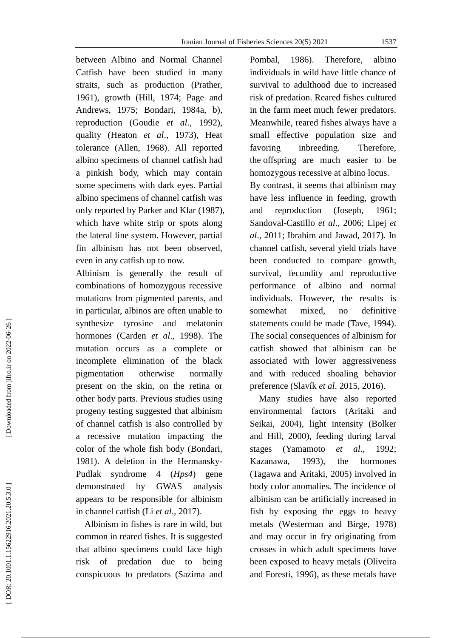between Albino and Normal Channel Catfish have been studied in many straits, such as production (Prather, 1961), growth (Hill , 1974; Page and Andrews, 1975; Bondari, 1984a, b), reproduction (Goudie *et al* ., 1992), quality (Heaton *et al*., 1973), Heat tolerance (Allen, 1968). All reported albino specimens of channel catfish had a pinkish body, which may contain some specimens with dark eyes. Partial albino specimens of channel catfish was only reported by Parker and Klar (1987), which have white strip or spots along the lateral line system. However, partial fin albinism has not been observed, even in any catfish up to now.

Albinism is generally the result of combinations of homozygous recessive mutations from pigmented parents, and in particular, albinos are often unable to synthesize tyrosine and melatonin hormones (Carden *et al*., 1998). The mutation occurs as a complete or incomplete elimination of the black pigmentation otherwise normally present on the skin, on the retina or other body parts. Previous studies using progeny testing suggested that albinism of channel catfish is also controlled by a recessive mutation impacting the color of the whole fish body (Bondari, 1981). A deletion in the Hermansky - Pudlak syndrome 4 (*Hps4*) gene demonstrated by GWAS analysis appears to be responsible for albinism in channel catfish (Li *et al*., 2017).

 Albinism in fishes is rare in wild, but common in reared fishes. It is suggested that albino specimens could face high risk of predation due to being conspicuous to predators (Sazima and

Pombal, 1986). Therefore, albino individuals in wild have little chance of survival to adulthood due to increased risk of predation. Reared fishes cultured in the farm meet much fewer predators. Meanwhile, reared fishes always have a small effective population size and favoring inbreeding. Therefore, the offspring are much easier to be homozygous recessive at albino locus.

By contrast, it seems that albinism may have less influence in feeding, growth and reproduction (Joseph, 1961; Sandoval -Castillo *et al*., 2006; Lipej *et al*., 2011; Ibrahim and Jawad, 2017). In channel catfish, several yield trials have been conducted to compare growth, survival, fecundity and reproductive performance of albino and normal individuals. However, the results is somewhat mixed, no definitive statements could be made (Tav e, 1994). The social consequences of albinism for catfish showed that albinism can be associated with lower aggressiveness and with reduced shoaling behavior preference (Slavík *et al*. 2015, 2016).

 Many studies have also reported environmental factors (Aritaki and Seikai, 2004), light intensity (Bolker and Hill, 2000), feeding during larval stages (Yamamoto *et al*., 1992; Kazanawa, 1993), the hormones (Tagawa and Aritaki, 2005) involved in body color anomalies. The incidence of albinism can be artificially increased in fish by exposing the eggs to heavy metals (Westerman and Birge, 1978) and may occur in fry originating from crosses in which adult specimens have been exposed to heavy metals (Oliveira and Foresti, 1996), as these metals have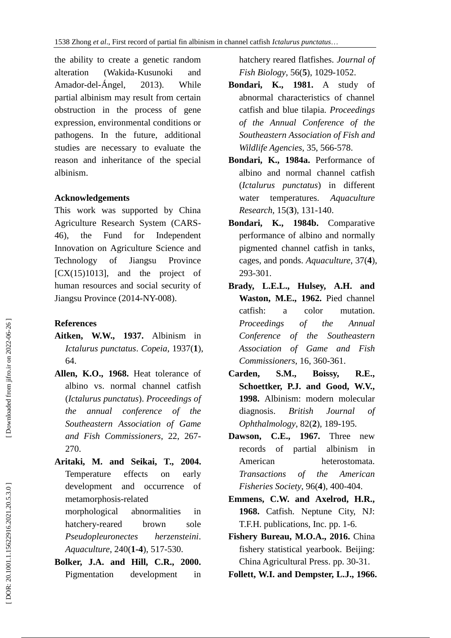the ability to create a genetic random alteration (Wakida-Kusunoki and Amador -del -Ángel, 2013). While partial albinism may result from certain obstruction in the process of gene expression, environmental conditions or pathogens. In the future, additional studies are necessary to evaluate the reason and inheritance of the special albinism.

#### **Acknowledgements**

This work was supported by China Agriculture Research System (CARS - 46), the Fund for Independent Innovation on Agriculture Science and Technology of Jiangsu Province  $[CX(15)1013]$ , and the project of human resources and social security of Jiangsu Province (2014 -NY-008).

### **References**

- **Aitken, W.W., 1937.** Albinism in *Ictalurus punctatus*. *Copeia*, 1937( **1**), 64.
- **Allen, K.O., 1968.** Heat tolerance of albino vs. normal channel catfish (*Ictalurus punctatus*). *Proceedings of the annual conference of the Southeastern Association of Game and Fish Commissioners*, 22, 267 - 270.
- **Aritaki, M. and Seikai, T., 2004.** Temperature effects on early development and occurrence of metamorphosis -related

morphological abnormalities in hatchery -reared brown sole *Pseudopleuronectes herzensteini*. *Aquaculture*, 240( **1 - 4**), 517 -530.

**Bolker, J.A. and Hill, C.R., 2000.**  Pigmentation development in hatchery reared flatfishes. *Journal of Fish Biology*, 56( **5**), 1029 -1052.

- **Bondari, K., 1981.** A study of abnormal characteristics of channel catfish and blue tilapia. *Proceedings of the Annual Conference of the Southeastern Association of Fish and Wildlife Agencies*, 35, 566 -578.
- **Bondari, K., 1984a.** Performance of albino and normal channel catfish (*Ictalurus punctatus*) in different water temperatures. *Aquaculture Research*, 15( **3**), 131 -140.
- **Bondari, K., 1984b.** Comparative performance of albino and normally pigmented channel catfish in tanks, cages, and ponds. *Aquaculture*, 37( **4**), 293 -301.
- **Brady, L.E.L., Hulsey, A.H. and Waston, M.E., 1962.** Pied channel catfish: a color mutation. *Proceedings of the Annual Conference of the Southeastern Association of Game and Fish Commissioners*, 16, 360 -361.
- **Carden, S.M., Boissy, R.E., Schoettker, P.J. and Good, W.V., 1998.** Albinism: modern molecular diagnosis. *British Journal of Ophthalmology*, 82( **2**), 189 -195.
- **Dawson, C.E., 1967.** Three new records of partial albinism in American heterostomata. *Transactions of the American Fisheries Society*, 96( **4**), 400 -404.
- **Emmens, C.W. and Axelrod, H.R., 1968.** Catfish. Neptune City, NJ: T.F.H. publications, Inc. pp. 1 -6.
- Fishery Bureau, M.O.A., 2016. China fishery statistical yearbook. Beijing: China Agricultural Press. pp. 30 -31 .
- **Follett, W.I. and Dempster, L.J., 1966.**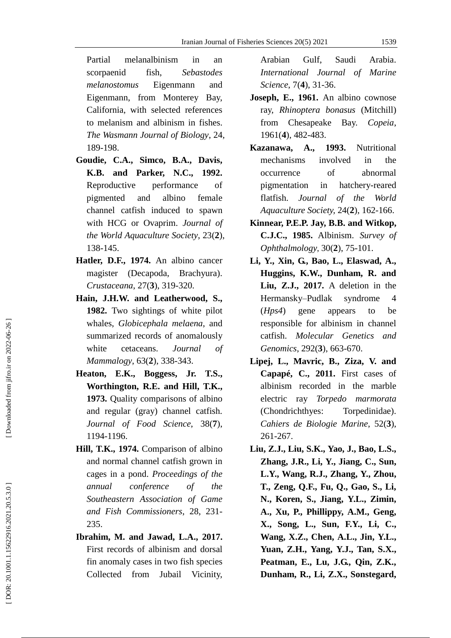Partial melanalbinism in an scorpaenid fish, *Sebastodes melanostomus* Eigenmann and Eigenmann, from Monterey Bay, California, with selected references to melanism and albinism in fishes. *The Wasmann Journal of Biology*, 24, 189 -198.

- **Goudie, C.A., Simco, B.A., Davis, K.B. and Parker, N.C., 1992.**  Reproductive performance of pigmented and albino female channel catfish induced to spawn with HCG or Ovaprim. *Journal of the World Aquaculture Society*, 23( **2**), 138 -145.
- **Hatler, D.F., 1974.** An albino cancer magister (Decapoda, Brachyura). *Crustaceana*, 27( **3**), 319 -320.
- **Hain, J.H.W. and Leatherwood, S., 1982.** Two sightings of white pilot whales, *Globicephala melaena*, and summarized records of anomalously white cetaceans. *[Journal of](http://xueshu.baidu.com/usercenter/data/journal?cmd=jump&wd=journaluri%3A%28e95417c2814a7d32%29%20%E3%80%8AJournal%20of%20Mammalogy%E3%80%8B&tn=SE_baiduxueshu_c1gjeupa&ie=utf-8&sc_f_para=sc_hilight%3Dpublish&sort=sc_cited)  [Mammalogy](http://xueshu.baidu.com/usercenter/data/journal?cmd=jump&wd=journaluri%3A%28e95417c2814a7d32%29%20%E3%80%8AJournal%20of%20Mammalogy%E3%80%8B&tn=SE_baiduxueshu_c1gjeupa&ie=utf-8&sc_f_para=sc_hilight%3Dpublish&sort=sc_cited)* , 63( **2**), 338 -343.
- **Heaton, E.K., Boggess, Jr. T.S., Worthington, R.E. and Hill, T.K., 1973.** Quality comparisons of albino and regular (gray) channel catfish. *Journal of Food Scienc e*, 38( **7**), 1194 -1196.
- **Hill, T.K., 1974.** Comparison of albino and normal channel catfish grown in cages in a pond. *Proceedings of the annual conference of the Southeastern Association of Game and Fish Commissioners*, 28, 231 - 235.
- **Ibrahim, M. and Jawad, L.A., 2017.**  First records of albinism and dorsal fin anomaly cases in two fish species Collected from Jubail Vicinity,

Arabian Gulf, Saudi Arabia. *International Journal of Marine Science* , 7( **4**), 31 -36.

- **Joseph, E., 1961.** An albino cownose ray, *Rhinoptera bonasus* (Mitchill) from Chesapeake Bay. *Copeia*, 1961( **4**), 482 -483.
- **Kazanawa, A., 1993.** Nutritional mechanisms involved in the occurrence of abnormal pigmentation in hatchery-reared flatfish. *Journal of the World Aquaculture Society,* 24( **2**), 162 -166.
- **Kinnear, P.E.P. Jay, B.B. and Witkop, C.J.C. , 1985.** Albinism. *Survey of Ophthalmology* , 30( **2**), 75 -101.
- **Li, Y., Xin, G., Bao, L., Elaswad, A., Huggins, K.W., Dunham, R. and Liu, Z.J., 2017.** A deletion in the Hermansky–Pudlak syndrome 4 (*Hps4*) gene appears to be responsible for albinism in channel catfish. *Molecular Genetics and Genomics*, 292( **3**), 663 -670.
- **Lipej, L., Mavric, B., Ziza, V. and Capapé, C. , 2011.** First cases of albinism recorded in the marble electric ray *Torpedo marmorata* (Chondrichthyes: Torpedinidae). *Cahiers de Biologie Marine*, 52( **3**), 261 -267.
- **Liu, Z.J., Liu, S.K., Yao, J., Bao, L.S., Zhang, J.R., Li, Y., Jiang, C., Sun, L.Y., Wang, R.J., Zhang, Y., Zhou, T., Zeng, Q.F., Fu, Q., Gao, S., Li, N., Koren, S., Jiang, Y.L., Zimin, A., Xu, P., Phillippy, A.M., Geng, X., Song, L., Sun, F.Y., Li, C., Wang, X.Z., Chen, A.L., Jin, Y.L., Yuan, Z.H., Yang, Y.J., Tan, S.X., Peatman, E., Lu, J.G., Qin, Z.K., Dunham, R., Li, Z.X., Sonstegard,**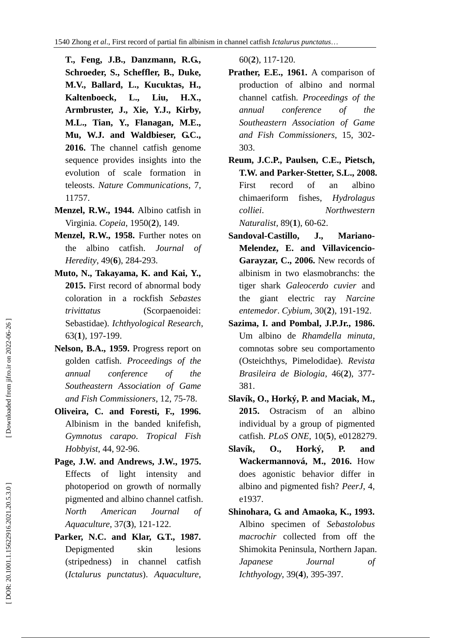**T., Feng, J.B., Danzmann, R.G., Schroeder, S., Scheffler, B., Duke, M.V., Ballard, L., Kucuktas, H., [Kaltenboeck,](http://pubmedcentralcanada.ca/pmcc/solr?term=author:\(Ludmilla%20Kaltenboeck\)) L., Liu, H.X., Armbruster, J., Xie, Y.J., Kirby, M.L., Tian, Y., Flanagan, M.E., Mu, W.J. and Waldbieser, G.C., 2016.** The channel catfish genome sequence provides insights into the evolution of scale formation in teleosts. *Nature Communications*, 7, 11757.

- **Menzel, R.W., 1944.** Albino catfish in Virginia. *Copeia*, 1950( **2**), 149.
- **Menzel, R.W., 1958.** Further notes on the albino catfish. *Journal of Heredity*, 49( **6**), 284 -293.
- **Muto, N., Takayama, K. and Kai, Y., 2015.** First record of abnormal body coloration in a rockfish *Sebastes trivittatus* (Scorpaenoidei: Sebastidae). *Ichthyological Research*, 63( **1**), 197 -199.
- **Nelson, B.A., 1959.** Progress report on golden catfish. *Proceedings of the annual conference of the Southeastern Association of Game and Fish Commissioners*, 12, 75 -78.
- **Oliveira, C. and Foresti, F., 1996.** Albinism in the banded knifefish, *Gymnotus carapo*. *Tropical Fish Hobbyist*, 44, 92 -96.
- **Page, J.W. and Andrews, J.W., 1975.** Effects of light intensity and photoperiod on growth of normally pigmented and albino channel catfish. *North American Journal of Aquaculture*, 37( **3**), 121 -122.
- **Parker, N.C. and Klar, G.T., 1987.** Depigmented skin lesions (stripedness) in channel catfish (*Ictalurus punctatus*). *Aquaculture*,

60( **2**), 117 -120.

- **Prather, E.E., 1961.** A comparison of production of albino and normal channel catfish. *Proceedings of the annual conference of the Southeastern Association of Game and Fish Commissioners* , 15, 302 - 303.
- **Reum, J.C.P., Paulsen, C.E., Pietsch, T.W. and Parker -Stetter, S.L., 2008.**  First record of an albino chimaeriform fishes, *Hydrolagus colliei*. *Northwestern Naturalist* , 89( **1**), 60 -62.
- **Sandoval -Castillo, J., Mariano - Melendez, E. and Villavicencio - Garayzar, C., 2006.** New records of albinism in two elasmobranchs: the tiger shark *Galeocerdo cuvier* and the giant electric ray *Narcine entemedor*. *Cybium*, 30( **2**), 191 -192.
- **Sazima, I. and Pombal, J.P.Jr., 1986.**  Um albino de *Rhamdella minuta*, comnotas sobre seu comportamento (Osteichthys, Pimelodidae). *Revista Brasileira de Biologia*, 46( **2**), 377 - 381.
- **Slavík, O., Horký, P. and Maciak, M., 2015.** Ostracism of an albino individual by a group of pigmented catfish. *PLoS ONE*, 10( **5**), e0128279.
- **Slavík, O., Horký, P. and Wackermannová, M., 2016.** How does agonistic behavior differ in albino and pigmented fish? *PeerJ*, 4, e1937.
- **Shinohara, G. and Amaoka, K., 1993.** Albino specimen of *Sebastolobus macrochir* collected from off the Shimokita Peninsula, Northern Japan. *Japanese Journal of Ichthyology* , 39( **4**), 395 -397.